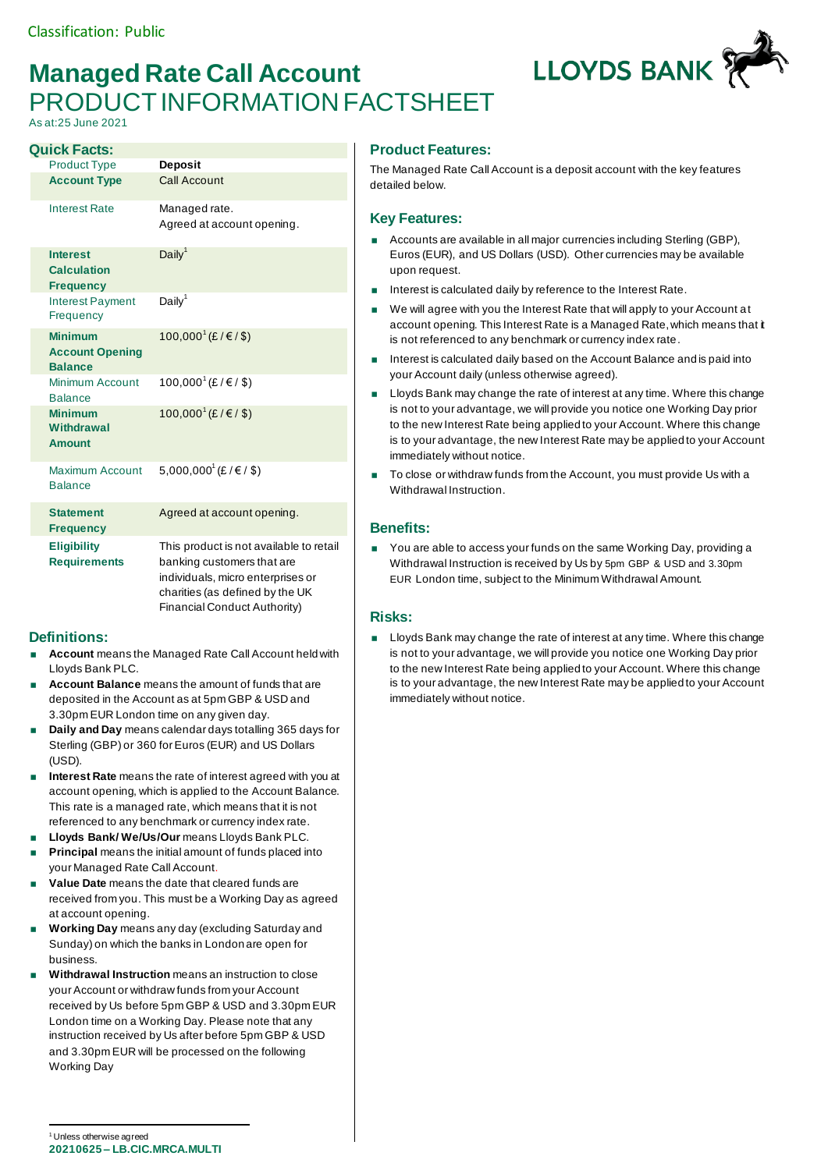# **Managed Rate Call Account** PRODUCT INFORMATION FACTSHEET

As at:25 June 2021

| <b>Quick Facts:</b>                                        |                                                                                                                                                                               |
|------------------------------------------------------------|-------------------------------------------------------------------------------------------------------------------------------------------------------------------------------|
| <b>Product Type</b>                                        | <b>Deposit</b>                                                                                                                                                                |
| <b>Account Type</b>                                        | <b>Call Account</b>                                                                                                                                                           |
| <b>Interest Rate</b>                                       | Managed rate.<br>Agreed at account opening.                                                                                                                                   |
| <b>Interest</b><br><b>Calculation</b><br><b>Frequency</b>  | Daily <sup>1</sup>                                                                                                                                                            |
| <b>Interest Payment</b><br>Frequency                       | Daily <sup>1</sup>                                                                                                                                                            |
| <b>Minimum</b><br><b>Account Opening</b><br><b>Balance</b> | 100,000 <sup>1</sup> (£/€/\$)                                                                                                                                                 |
| Minimum Account<br><b>Balance</b>                          | 100,000 <sup>1</sup> (£/€/\$)                                                                                                                                                 |
| <b>Minimum</b><br>Withdrawal<br><b>Amount</b>              | 100,000 <sup>1</sup> (£/€/\$)                                                                                                                                                 |
| Maximum Account<br><b>Balance</b>                          | 5,000,000 <sup>1</sup> (£/€/\$)                                                                                                                                               |
| <b>Statement</b><br><b>Frequency</b>                       | Agreed at account opening.                                                                                                                                                    |
| <b>Eligibility</b><br><b>Requirements</b>                  | This product is not available to retail<br>banking customers that are<br>individuals, micro enterprises or<br>charities (as defined by the UK<br>Financial Conduct Authority) |

## **Definitions:**

- **Account** means the Managed Rate Call Account held with Lloyds Bank PLC.
- **Account Balance** means the amount of funds that are deposited in the Account as at 5pm GBP & USD and 3.30pm EUR London time on any given day.
- **Daily and Day** means calendar days totalling 365 days for Sterling (GBP) or 360 for Euros (EUR) and US Dollars (USD).
- **Interest Rate** means the rate of interest agreed with you at account opening, which is applied to the Account Balance. This rate is a managed rate, which means that it is not referenced to any benchmark or currency index rate.
- **Lloyds Bank/ We/Us/Our** means Lloyds Bank PLC.
- **Principal** means the initial amount of funds placed into your Managed Rate Call Account.
- **Value Date** means the date that cleared funds are received from you. This must be a Working Day as agreed at account opening.
- **Working Day** means any day (excluding Saturday and Sunday) on which the banks in London are open for business.
- **Withdrawal Instruction** means an instruction to close your Account or withdraw funds from your Account received by Us before 5pm GBP & USD and 3.30pm EUR London time on a Working Day. Please note that any instruction received by Us after before 5pm GBP & USD and 3.30pm EUR will be processed on the following Working Day

**Product Features:**

The Managed Rate Call Account is a deposit account with the key features detailed below.

**LLOYDS BANK** 

#### **Key Features:**

- Accounts are available in all major currencies including Sterling (GBP), Euros (EUR), and US Dollars (USD). Other currencies may be available upon request.
- Interest is calculated daily by reference to the Interest Rate.
- $\blacksquare$  We will agree with you the Interest Rate that will apply to your Account at account opening. This Interest Rate is a Managed Rate, which means that it is not referenced to any benchmark or currency index rate.
- Interest is calculated daily based on the Account Balance and is paid into your Account daily (unless otherwise agreed).
- **Lloyds Bank may change the rate of interest at any time. Where this change** is not to your advantage, we will provide you notice one Working Day prior to the new Interest Rate being applied to your Account. Where this change is to your advantage, the new Interest Rate may be applied to your Account immediately without notice.
- To close or withdraw funds from the Account, you must provide Us with a Withdrawal Instruction.

## **Benefits:**

**Nou are able to access your funds on the same Working Day, providing a** Withdrawal Instruction is received by Us by 5pm GBP & USD and 3.30pm EUR London time, subject to the Minimum Withdrawal Amount.

## **Risks:**

**Lloyds Bank may change the rate of interest at any time. Where this change** is not to your advantage, we will provide you notice one Working Day prior to the new Interest Rate being applied to your Account. Where this change is to your advantage, the new Interest Rate may be applied to your Account immediately without notice.

**20210625 – LB.CIC.MRCA.MULTI** <sup>1</sup> Unless otherwise agreed